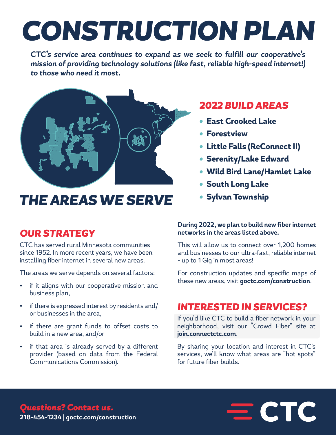# *CONSTRUCTION PLAN*

*CTC's service area continues to expand as we seek to fulfill our cooperative's mission of providing technology solutions (like fast, reliable high-speed internet!) to those who need it most.* 



## *THE AREAS WE SERVE*

## *OUR STRATEGY*

CTC has served rural Minnesota communities since 1952. In more recent years, we have been installing fiber internet in several new areas.

The areas we serve depends on several factors:

- if it aligns with our cooperative mission and business plan,
- if there is expressed interest by residents and/ or businesses in the area,
- if there are grant funds to offset costs to build in a new area, and/or
- if that area is already served by a different provider (based on data from the Federal Communications Commission).

## *2022 BUILD AREAS*

- *•* **East Crooked Lake**
- *•* **Forestview**
- *•* **Little Falls (ReConnect II)**
- *•* **Serenity/Lake Edward**
- *•* **Wild Bird Lane/Hamlet Lake**
- *•* **South Long Lake**
- *•* **Sylvan Township**

#### **During 2022, we plan to build new fiber internet networks in the areas listed above.**

This will allow us to connect over 1,200 homes and businesses to our ultra-fast, reliable internet - up to 1 Gig in most areas!

For construction updates and specific maps of these new areas, visit **goctc.com/construction**.

### *INTERESTED IN SERVICES?*

If you'd like CTC to build a fiber network in your neighborhood, visit our "Crowd Fiber" site at **join.connectctc.com**.

By sharing your location and interest in CTC's services, we'll know what areas are "hot spots" for future fiber builds.

 $=$  CTC

*Questions? Contact us.* **218-454-1234 | goctc.com/construction**